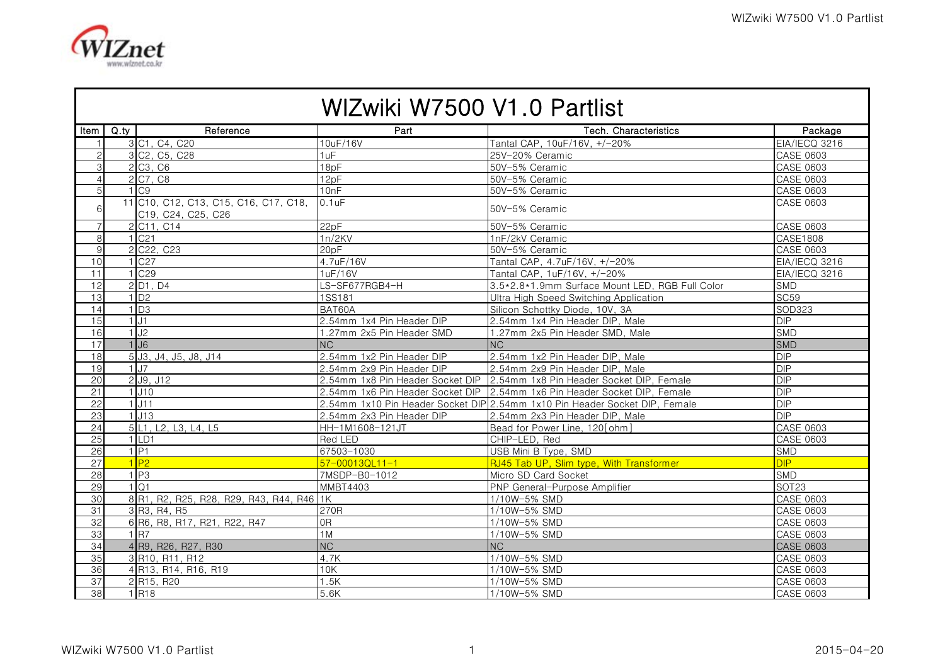

| WIZwiki W7500 V1.0 Partlist |                   |                                                             |                                  |                                                                             |                  |  |  |  |
|-----------------------------|-------------------|-------------------------------------------------------------|----------------------------------|-----------------------------------------------------------------------------|------------------|--|--|--|
|                             | Item $\vert$ Q ty | Reference                                                   | Part                             | Tech. Characteristics                                                       | Package          |  |  |  |
| $\mathbf{1}$                |                   | 3 C1, C4, C20                                               | 10uF/16V                         | Tantal CAP, 10uF/16V, +/-20%                                                | EIA/IECQ 3216    |  |  |  |
| $\overline{2}$              |                   | 3 C <sub>2</sub> , C <sub>5</sub> , C <sub>28</sub>         | 1uF                              | 25V-20% Ceramic                                                             | CASE 0603        |  |  |  |
| $\mathbf{3}$                |                   | 2 C <sub>3</sub> , C <sub>6</sub>                           | 18pF                             | 50V-5% Ceramic                                                              | <b>CASE 0603</b> |  |  |  |
| $\overline{4}$              |                   | 2 C7, C8                                                    | 12pF                             | 50V-5% Ceramic                                                              | <b>CASE 0603</b> |  |  |  |
| 5 <sup>1</sup>              |                   | $1°$ C <sub>9</sub>                                         | 10nF                             | 50V-5% Ceramic                                                              | <b>CASE 0603</b> |  |  |  |
| 6                           |                   | 11 C10, C12, C13, C15, C16, C17, C18,<br>C19, C24, C25, C26 | $0.1$ u $F$                      | 50V-5% Ceramic                                                              | CASE 0603        |  |  |  |
| $\overline{7}$              |                   | 2 C11, C14                                                  | 22pF                             | 50V-5% Ceramic                                                              | <b>CASE 0603</b> |  |  |  |
| 8                           |                   | 1 C <sub>21</sub>                                           | 1n/2KV                           | 1nF/2kV Ceramic                                                             | CASE1808         |  |  |  |
| 9                           |                   | 2 C <sub>22</sub> , C <sub>23</sub>                         | 20pF                             | 50V-5% Ceramic                                                              | CASE 0603        |  |  |  |
| 10                          |                   | $1$ C <sub>27</sub>                                         | 4.7uF/16V                        | Tantal CAP, 4.7uF/16V, +/-20%                                               | EIA/IECQ 3216    |  |  |  |
| 11                          |                   | 1 C <sub>29</sub>                                           | 1uF/16V                          | Tantal CAP. 1uF/16V. +/-20%                                                 | EIA/IECQ 3216    |  |  |  |
| 12                          |                   | 2 D1, D4                                                    | LS-SF677RGB4-H                   | 3.5*2.8*1.9mm Surface Mount LED, RGB Full Color                             | SMD              |  |  |  |
| 13                          |                   | $1\overline{D2}$                                            | 1SS181                           | Ultra High Speed Switching Application                                      | <b>SC59</b>      |  |  |  |
| 14                          |                   | $1\overline{D3}$                                            | BAT60A                           | Silicon Schottky Diode, 10V, 3A                                             | SOD323           |  |  |  |
| 15                          |                   | 1.11                                                        | 2.54mm 1x4 Pin Header DIP        | 2.54mm 1x4 Pin Header DIP, Male                                             | <b>DIP</b>       |  |  |  |
| 16                          |                   | $1$ J <sub>2</sub>                                          | 1.27mm 2x5 Pin Header SMD        | 1.27mm 2x5 Pin Header SMD, Male                                             | <b>SMD</b>       |  |  |  |
| 17                          |                   | $1$ J <sub>6</sub>                                          | <b>NC</b>                        | <b>NC</b>                                                                   | <b>SMD</b>       |  |  |  |
| 18                          |                   | 5 J3, J4, J5, J8, J14                                       | 2.54mm 1x2 Pin Header DIP        | 2.54mm 1x2 Pin Header DIP, Male                                             | <b>DIP</b>       |  |  |  |
| 19                          |                   | 1.17                                                        | 2.54mm 2x9 Pin Header DIP        | 2.54mm 2x9 Pin Header DIP, Male                                             | <b>DIP</b>       |  |  |  |
| 20 <sup>1</sup>             |                   | $2$ J9, J12                                                 | 2.54mm 1x8 Pin Header Socket DIP | 2.54mm 1x8 Pin Header Socket DIP, Female                                    | <b>DIP</b>       |  |  |  |
| 21                          |                   | $1$ J <sub>10</sub>                                         |                                  | 2.54mm 1x6 Pin Header Socket DIP 2.54mm 1x6 Pin Header Socket DIP, Female   | DIP              |  |  |  |
| 22                          |                   | $1$ J11                                                     |                                  | 2.54mm 1x10 Pin Header Socket DIP 2.54mm 1x10 Pin Header Socket DIP, Female | DIP              |  |  |  |
| 23                          |                   | 1.113                                                       | 2.54mm 2x3 Pin Header DIP        | 2.54mm 2x3 Pin Header DIP, Male                                             | <b>DIP</b>       |  |  |  |
| 24                          |                   | 5 L1, L2, L3, L4, L5                                        | HH-1M1608-121JT                  | Bead for Power Line, 120 [ohm]                                              | <b>CASE 0603</b> |  |  |  |
| 25                          |                   | 1 LD1                                                       | Red LED                          | CHIP-LED, Red                                                               | CASE 0603        |  |  |  |
| 26                          |                   | $1$ P <sub>1</sub>                                          | 67503-1030                       | USB Mini B Type, SMD                                                        | SMD              |  |  |  |
| 27                          |                   | $1$ P <sub>2</sub>                                          | $57 - 000130111 - 1$             | RJ45 Tab UP, Slim type, With Transformer                                    | DIP              |  |  |  |
| 28                          |                   | $1$ P <sub>3</sub>                                          | 7MSDP-B0-1012                    | Micro SD Card Socket                                                        | <b>SMD</b>       |  |  |  |
| 29                          |                   | 1Q1                                                         | <b>MMBT4403</b>                  | PNP General-Purpose Amplifier                                               | SOT23            |  |  |  |
| 30                          |                   | 8 R1, R2, R25, R28, R29, R43, R44, R46 1K                   |                                  | 1/10W-5% SMD                                                                | <b>CASE 0603</b> |  |  |  |
| 31                          |                   | 3 R3, R4, R5                                                | 270R                             | 1/10W-5% SMD                                                                | <b>CASE 0603</b> |  |  |  |
| 32                          |                   | 6 R6, R8, R17, R21, R22, R47                                | 0R                               | 1/10W-5% SMD                                                                | CASE 0603        |  |  |  |
| 33                          |                   | 1 R7                                                        | 1M                               | 1/10W-5% SMD                                                                | <b>CASE 0603</b> |  |  |  |
| 34                          |                   | 4 R9, R26, R27, R30                                         | $\overline{\text{NC}}$           | NC                                                                          | <b>CASE 0603</b> |  |  |  |
| 35                          |                   | 3 R10, R11, R12                                             | 4.7K                             | 1/10W-5% SMD                                                                | <b>CASE 0603</b> |  |  |  |
| 36                          |                   | 4 R13, R14, R16, R19                                        | 10K                              | 1/10W-5% SMD                                                                | <b>CASE 0603</b> |  |  |  |
| 37                          |                   | 2 R <sub>15</sub> , R <sub>20</sub>                         | 1.5K                             | 1/10W-5% SMD                                                                | <b>CASE 0603</b> |  |  |  |
| 38                          |                   | $1$ <sub>R18</sub>                                          | 5.6K                             | 1/10W-5% SMD                                                                | <b>CASE 0603</b> |  |  |  |